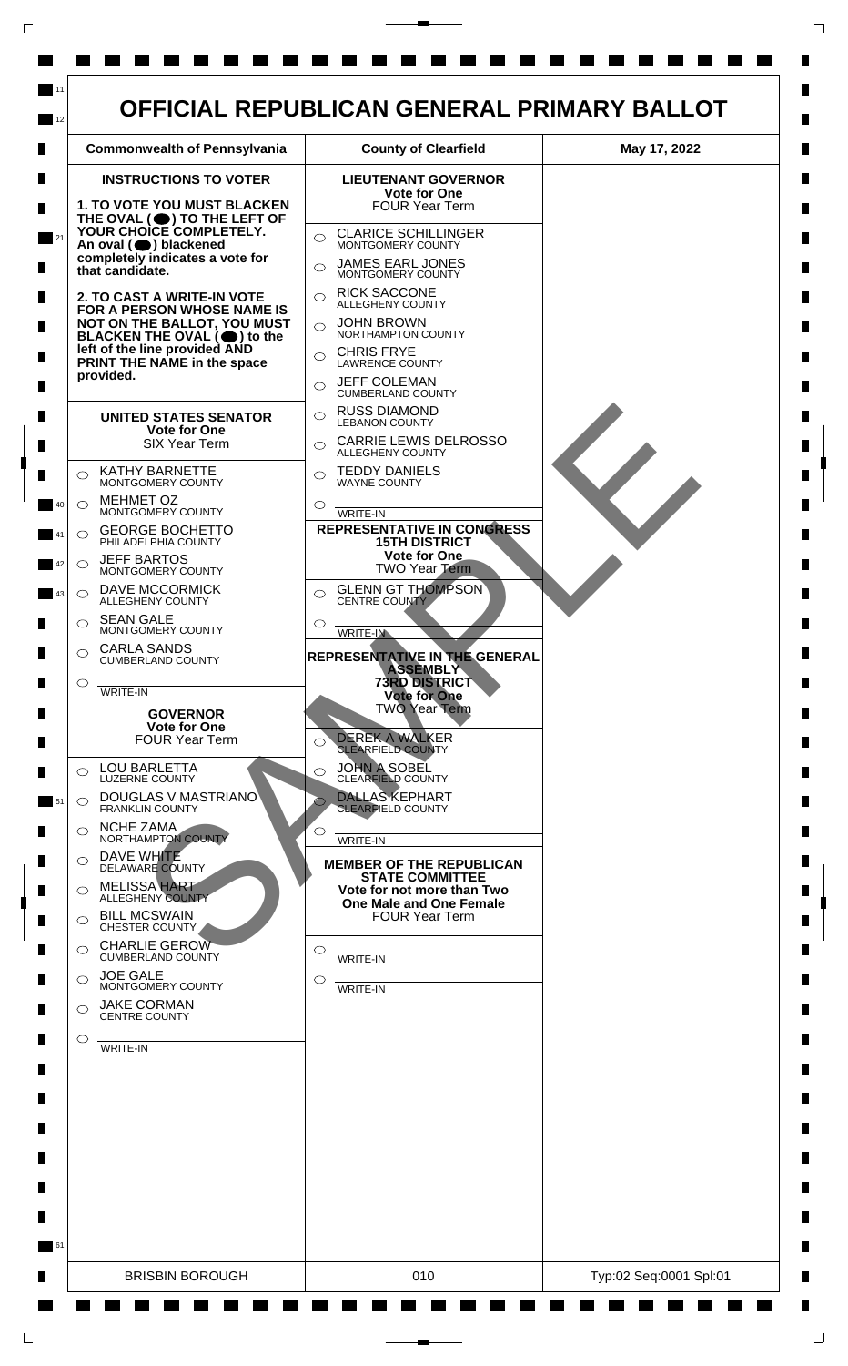

 $\mathsf{L}$ 

 $\Box$